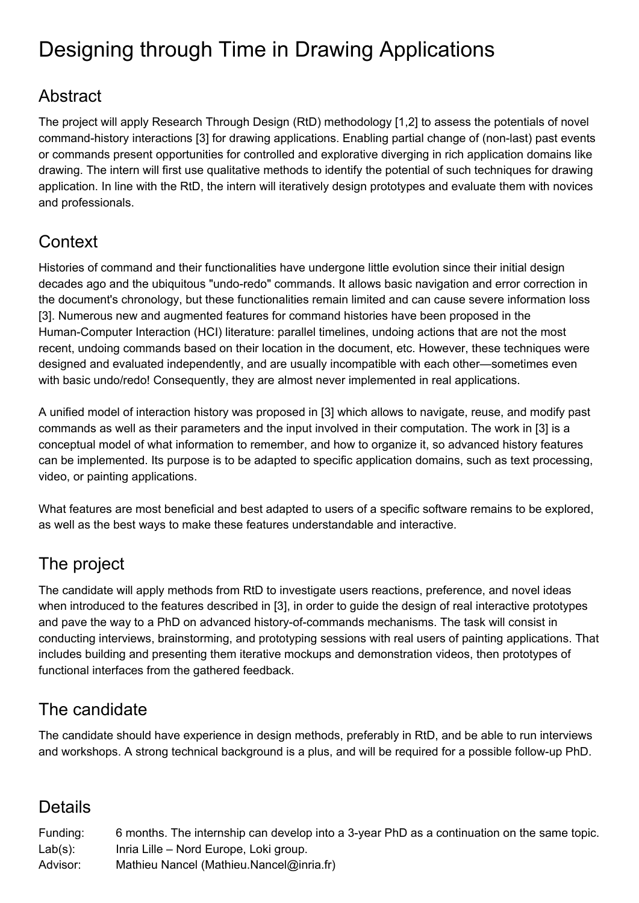# Designing through Time in Drawing Applications

#### Abstract

The project will apply Research Through Design (RtD) methodology [1,2] to assess the potentials of novel command-history interactions [3] for drawing applications. Enabling partial change of (non-last) past events or commands present opportunities for controlled and explorative diverging in rich application domains like drawing. The intern will first use qualitative methods to identify the potential of such techniques for drawing application. In line with the RtD, the intern will iteratively design prototypes and evaluate them with novices and professionals.

## **Context**

Histories of command and their functionalities have undergone little evolution since their initial design decades ago and the ubiquitous "undo-redo" commands. It allows basic navigation and error correction in the document's chronology, but these functionalities remain limited and can cause severe information loss [3]. Numerous new and augmented features for command histories have been proposed in the Human-Computer Interaction (HCI) literature: parallel timelines, undoing actions that are not the most recent, undoing commands based on their location in the document, etc. However, these techniques were designed and evaluated independently, and are usually incompatible with each other—sometimes even with basic undo/redo! Consequently, they are almost never implemented in real applications.

A unified model of interaction history was proposed in [3] which allows to navigate, reuse, and modify past commands as well as their parameters and the input involved in their computation. The work in [3] is a conceptual model of what information to remember, and how to organize it, so advanced history features can be implemented. Its purpose is to be adapted to specific application domains, such as text processing, video, or painting applications.

What features are most beneficial and best adapted to users of a specific software remains to be explored, as well as the best ways to make these features understandable and interactive.

## The project

The candidate will apply methods from RtD to investigate users reactions, preference, and novel ideas when introduced to the features described in [3], in order to guide the design of real interactive prototypes and pave the way to a PhD on advanced history-of-commands mechanisms. The task will consist in conducting interviews, brainstorming, and prototyping sessions with real users of painting applications. That includes building and presenting them iterative mockups and demonstration videos, then prototypes of functional interfaces from the gathered feedback.

## The candidate

The candidate should have experience in design methods, preferably in RtD, and be able to run interviews and workshops. A strong technical background is a plus, and will be required for a possible follow-up PhD.

#### Details

| Funding:   | 6 months. The internship can develop into a 3-year PhD as a continuation on the same topic. |
|------------|---------------------------------------------------------------------------------------------|
| $Lab(s)$ : | Inria Lille – Nord Europe, Loki group.                                                      |
| Advisor:   | Mathieu Nancel (Mathieu.Nancel@inria.fr)                                                    |